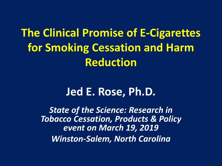**The Clinical Promise of E-Cigarettes for Smoking Cessation and Harm Reduction**

## **Jed E. Rose, Ph.D.**

*State of the Science: Research in Tobacco Cessation, Products & Policy event on March 19, 2019 Winston-Salem, North Carolina*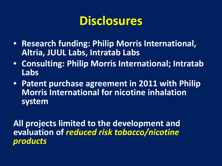## **Disclosures**

- **Research funding: Philip Morris International, Altria, JUUL Labs, Intratab Labs**
- **Consulting: Philip Morris International; Intratab Labs**
- **Patent purchase agreement in 2011 with Philip Morris International for nicotine inhalation system**

**All projects limited to the development and evaluation of** *reduced risk tobacco/nicotine products*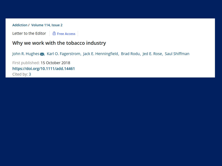Addiction / Volume 114, Issue 2

Letter to the Editor  $\theta$  Free Access

### Why we work with the tobacco industry

John R. Hughes X, Karl O. Fagerstrom, Jack E. Henningfield, Brad Rodu, Jed E. Rose, Saul Shiffman

First published: 15 October 2018 https://doi.org/10.1111/add.14461 Cited by: 3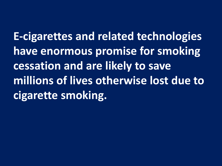**E-cigarettes and related technologies have enormous promise for smoking cessation and are likely to save millions of lives otherwise lost due to cigarette smoking.**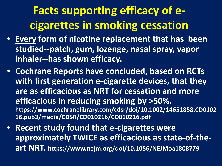# **Facts supporting efficacy of ecigarettes in smoking cessation**

- **Every form of nicotine replacement that has been studied--patch, gum, lozenge, nasal spray, vapor inhaler--has shown efficacy.**
- **Cochrane Reports have concluded, based on RCTs with first generation e-cigarette devices, that they are as efficacious as NRT for cessation and more efficacious in reducing smoking by >50%. https://www.cochranelibrary.com/cdsr/doi/10.1002/14651858.CD0102 16.pub3/media/CDSR/CD010216/CD010216.pdf**
- **Recent study found that e-cigarettes were approximately TWICE as efficacious as state-of-theart NRT. https://www.nejm.org/doi/10.1056/NEJMoa1808779**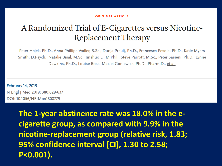#### **ORIGINAL ARTICLE**

## A Randomized Trial of E-Cigarettes versus Nicotine-**Replacement Therapy**

Peter Hajek, Ph.D., Anna Phillips-Waller, B.Sc., Dunja Przulj, Ph.D., Francesca Pesola, Ph.D., Katie Myers Smith, D.Psych., Natalie Bisal, M.Sc., Jinshuo Li, M.Phil., Steve Parrott, M.Sc., Peter Sasieni, Ph.D., Lynne Dawkins, Ph.D., Louise Ross, Maciej Goniewicz, Ph.D., Pharm.D., et al.

**February 14, 2019** N Engl | Med 2019; 380:629-637 DOI: 10.1056/NEJMoa1808779

> The 1-year abstinence rate was 18.0% in the ecigarette group, as compared with 9.9% in the nicotine-replacement group (relative risk, 1.83; 95% confidence interval [CI], 1.30 to 2.58; P<0.001).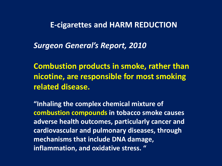**E-cigarettes and HARM REDUCTION**

*Surgeon General's Report, 2010*

**Combustion products in smoke, rather than nicotine, are responsible for most smoking related disease.**

**"Inhaling the complex chemical mixture of combustion compounds in tobacco smoke causes adverse health outcomes, particularly cancer and cardiovascular and pulmonary diseases, through mechanisms that include DNA damage, inflammation, and oxidative stress. "**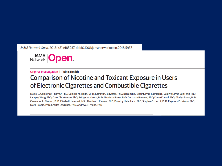JAMA Network Open. 2018;1(8):e185937. doi:10.1001/jamanetworkopen.2018.5937



#### **Original Investigation | Public Health**

### **Comparison of Nicotine and Toxicant Exposure in Users** of Electronic Cigarettes and Combustible Cigarettes

Maciej L. Goniewicz, PharmD, PhD; Danielle M. Smith, MPH; Kathryn C. Edwards, PhD; Benjamin C. Blount, PhD; Kathleen L. Caldwell, PhD; Jun Feng, PhD; Langing Wang, PhD; Carol Christensen, PhD; Bridget Ambrose, PhD; Nicolette Borek, PhD; Dana van Bemmel, PhD; Karen Konkel, PhD; Gladys Erives, PhD; Cassandra A. Stanton, PhD; Elizabeth Lambert, MSc; Heather L. Kimmel, PhD; Dorothy Hatsukami, PhD; Stephen S. Hecht, PhD; Raymond S. Niaura, PhD; Mark Travers, PhD; Charles Lawrence, PhD; Andrew J. Hyland, PhD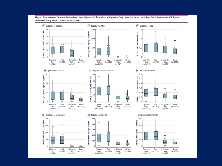

#### Figure 1. Biomarkers of Exposure Among Dual Users, Cigarette-Only Smokers, e-Cigarette-Only Users, and Never Users, Population Assessment of Tobacco and Health Study, Wave 1, 2013-2014 (N = 5105)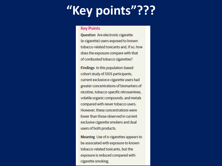# "Key points"???

### **Key Points**

**Question** Are electronic cigarette (e-cigarette) users exposed to known tobacco-related toxicants and, if so, how does the exposure compare with that of combusted tobacco cigarettes?

Findings In this population-based cohort study of 5105 participants, current exclusive e-cigarette users had greater concentrations of biomarkers of nicotine, tobacco-specific nitrosamines, volatile organic compounds, and metals compared with never tobacco users. However, these concentrations were lower than those observed in current exclusive cigarette smokers and dual users of both products.

Meaning Use of e-cigarettes appears to be associated with exposure to known tobacco-related toxicants, but the exposure is reduced compared with cigarette smoking.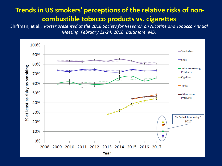### **Trends in US smokers' perceptions of the relative risks of noncombustible tobacco products vs. cigarettes**

Shiffman, et al., *Poster presented at the 2018 Society for Research on Nicotine and Tobacco Annual Meeting, February 21-24, 2018, Baltimore, MD:*